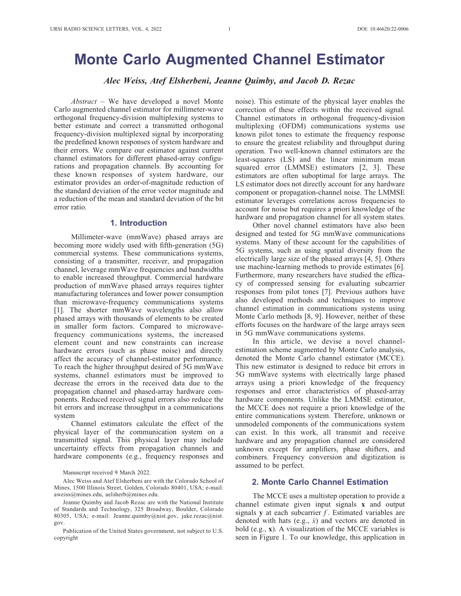# Monte Carlo Augmented Channel Estimator

Alec Weiss, Atef Elsherbeni, Jeanne Quimby, and Jacob D. Rezac

 $Abstract - We have developed a novel Monte$ Carlo augmented channel estimator for millimeter-wave orthogonal frequency-division multiplexing systems to better estimate and correct a transmitted orthogonal frequency-division multiplexed signal by incorporating the predefined known responses of system hardware and their errors. We compare our estimator against current channel estimators for different phased-array configurations and propagation channels. By accounting for these known responses of system hardware, our estimator provides an order-of-magnitude reduction of the standard deviation of the error vector magnitude and a reduction of the mean and standard deviation of the bit error ratio.

# 1. Introduction

Millimeter-wave (mmWave) phased arrays are becoming more widely used with fifth-generation (5G) commercial systems. These communications systems, consisting of a transmitter, receiver, and propagation channel, leverage mmWave frequencies and bandwidths to enable increased throughput. Commercial hardware production of mmWave phased arrays requires tighter manufacturing tolerances and lower power consumption than microwave-frequency communications systems [1]. The shorter mmWave wavelengths also allow phased arrays with thousands of elements to be created in smaller form factors. Compared to microwavefrequency communications systems, the increased element count and new constraints can increase hardware errors (such as phase noise) and directly affect the accuracy of channel-estimator performance. To reach the higher throughput desired of 5G mmWave systems, channel estimators must be improved to decrease the errors in the received data due to the propagation channel and phased-array hardware components. Reduced received signal errors also reduce the bit errors and increase throughput in a communications system

Channel estimators calculate the effect of the physical layer of the communication system on a transmitted signal. This physical layer may include uncertainty effects from propagation channels and hardware components (e.g., frequency responses and

Alec Weiss and Atef Elsherbeni are with the Colorado School of Mines, 1500 Illinois Street, Golden, Colorado 80401, USA; e-mail: aweiss@mines.edu, aelsherb@mines.edu.

noise). This estimate of the physical layer enables the correction of these effects within the received signal. Channel estimators in orthogonal frequency-division multiplexing (OFDM) communications systems use known pilot tones to estimate the frequency response to ensure the greatest reliability and throughput during operation. Two well-known channel estimators are the least-squares (LS) and the linear minimum mean squared error (LMMSE) estimators [2, 3]. These estimators are often suboptimal for large arrays. The LS estimator does not directly account for any hardware component or propagation-channel noise. The LMMSE estimator leverages correlations across frequencies to account for noise but requires a priori knowledge of the hardware and propagation channel for all system states.

Other novel channel estimators have also been designed and tested for 5G mmWave communications systems. Many of these account for the capabilities of 5G systems, such as using spatial diversity from the electrically large size of the phased arrays [4, 5]. Others use machine-learning methods to provide estimates [6]. Furthermore, many researchers have studied the efficacy of compressed sensing for evaluating subcarrier responses from pilot tones [7]. Previous authors have also developed methods and techniques to improve channel estimation in communications systems using Monte Carlo methods [8, 9]. However, neither of these efforts focuses on the hardware of the large arrays seen in 5G mmWave communications systems.

In this article, we devise a novel channelestimation scheme augmented by Monte Carlo analysis, denoted the Monte Carlo channel estimator (MCCE). This new estimator is designed to reduce bit errors in 5G mmWave systems with electrically large phased arrays using a priori knowledge of the frequency responses and error characteristics of phased-array hardware components. Unlike the LMMSE estimator, the MCCE does not require a priori knowledge of the entire communications system. Therefore, unknown or unmodeled components of the communications system can exist. In this work, all transmit and receive hardware and any propagation channel are considered unknown except for amplifiers, phase shifters, and combiners. Frequency conversion and digitization is assumed to be perfect.

### 2. Monte Carlo Channel Estimation

The MCCE uses a multistep operation to provide a channel estimate given input signals x and output signals y at each subcarrier  $f$ . Estimated variables are denoted with hats (e.g.,  $\hat{x}$ ) and vectors are denoted in bold (e.g., x). A visualization of the MCCE variables is seen in Figure 1. To our knowledge, this application in

Manuscript received 9 March 2022.

Jeanne Quimby and Jacob Rezac are with the National Institute of Standards and Technology, 325 Broadway, Boulder, Colorado 80305, USA; e-mail: Jeanne.quimby@nist.gov, jake.rezac@nist. gov.

Publication of the United States government, not subject to U.S. copyright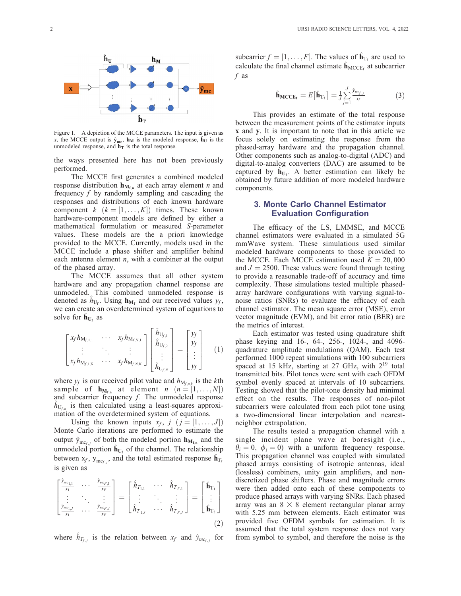

Figure 1. A depiction of the MCCE parameters. The input is given as x, the MCCE output is  $\hat{y}_{mc}$ ,  $h_M$  is the modeled response,  $\hat{h}_U$  is the unmodeled response, and  $h_T$  is the total response.

the ways presented here has not been previously performed.

The MCCE first generates a combined modeled response distribution  $h_{M_{f,n}}$  at each array element *n* and frequency  $f$  by randomly sampling and cascading the responses and distributions of each known hardware component  $k \ (k = [1, \ldots, K])$  times. These known hardware-component models are defined by either a mathematical formulation or measured S-parameter values. These models are the a priori knowledge provided to the MCCE. Currently, models used in the MCCE include a phase shifter and amplifier behind each antenna element  $n$ , with a combiner at the output of the phased array.

The MCCE assumes that all other system hardware and any propagation channel response are unmodeled. This combined unmodeled response is denoted as  $h_{U_f}$ . Using  $\mathbf{h}_{M_f}$  and our received values  $y_f$ , we can create an overdetermined system of equations to solve for  $h_{U_f}$  as

$$
\begin{bmatrix} x_f h_{M_{f,1,1}} & \cdots & x_f h_{M_{f,N,1}} \\ \vdots & \ddots & \vdots \\ x_f h_{M_{f,1,K}} & \cdots & x_f h_{M_{f,N,K}} \end{bmatrix} \begin{bmatrix} \hat{h}_{U_{f,1}} \\ \hat{h}_{U_{f,2}} \\ \vdots \\ \hat{h}_{U_{f,N}} \end{bmatrix} = \begin{bmatrix} y_f \\ y_f \\ \vdots \\ y_f \end{bmatrix}
$$
 (1)

where  $y_f$  is our received pilot value and  $h_{M_{f,n,k}}$  is the kth sample of  $\mathbf{h}_{\mathbf{M}_{\mathbf{f},n}}$  at element  $n$   $(n = [1, \ldots, N])$ and subcarrier frequency f. The unmodeled response  $\hat{h}_{U_{f,n}}$  is then calculated using a least-squares approximation of the overdetermined system of equations.

Using the known inputs  $x_f$ ,  $j$   $(j = [1, \ldots, J])$ Monte Carlo iterations are performed to estimate the output  $\hat{y}_{mc_{f,j}}$  of both the modeled portion  $\mathbf{h}_{M_{f,n}}$  and the unmodeled portion  $\hat{\mathbf{h}}_{U_f}$  of the channel. The relationship between  $x_f$ ,  $y_{mc_{f,j}}$ , and the total estimated response  $\hat{\mathbf{h}}_{T_f}$ is given as

$$
\begin{bmatrix}\n\frac{\hat{y}_{mc_{1,1}}}{x_1} & \cdots & \frac{\hat{y}_{mc_{F,1}}}{x_F} \\
\vdots & \ddots & \vdots \\
\frac{\hat{y}_{mc_{1,J}}}{x_1} & \cdots & \frac{\hat{y}_{mc_{F,J}}}{x_F}\n\end{bmatrix} = \begin{bmatrix}\n\hat{h}_{T_{1,1}} & \cdots & \hat{h}_{T_{F,1}} \\
\vdots & \ddots & \vdots \\
\hat{h}_{T_{1,J}} & \cdots & \hat{h}_{T_{F,J}}\n\end{bmatrix} = \begin{bmatrix}\n\hat{\mathbf{h}}_{T_1} \\
\vdots \\
\hat{\mathbf{h}}_{T_f}\n\end{bmatrix}
$$
\n(2)

where  $\hat{h}_{T_{f, i}}$  is the relation between  $x_f$  and  $\hat{y}_{m c_{f, i}}$  for

subcarrier  $f = [1, \ldots, F]$ . The values of  $\hat{\mathbf{h}}_{T_f}$  are used to calculate the final channel estimate  $\hat{\mathbf{h}}_{\text{MCCE}_f}$  at subcarrier f as

$$
\hat{\mathbf{h}}_{\text{MCCE}_{\mathbf{f}}} = E\left[\hat{\mathbf{h}}_{\text{T}_{\mathbf{f}}}\right] = \frac{1}{J} \sum_{j=1}^{J} \frac{\hat{y}_{m c_{f,j}}}{x_f} \tag{3}
$$

This provides an estimate of the total response between the measurement points of the estimator inputs x and y. It is important to note that in this article we focus solely on estimating the response from the phased-array hardware and the propagation channel. Other components such as analog-to-digital (ADC) and digital-to-analog converters (DAC) are assumed to be captured by  $h_{U_f}$ . A better estimation can likely be obtained by future addition of more modeled hardware components.

#### 3. Monte Carlo Channel Estimator Evaluation Configuration

The efficacy of the LS, LMMSE, and MCCE channel estimators were evaluated in a simulated 5G mmWave system. These simulations used similar modeled hardware components to those provided to the MCCE. Each MCCE estimation used  $K = 20,000$ and  $J = 2500$ . These values were found through testing to provide a reasonable trade-off of accuracy and time complexity. These simulations tested multiple phasedarray hardware configurations with varying signal-tonoise ratios (SNRs) to evaluate the efficacy of each channel estimator. The mean square error (MSE), error vector magnitude (EVM), and bit error ratio (BER) are the metrics of interest.

Each estimator was tested using quadrature shift phase keying and 16-, 64-, 256-, 1024-, and 4096 quadrature amplitude modulations (QAM). Each test performed 1000 repeat simulations with 100 subcarriers spaced at 15 kHz, starting at 27 GHz, with  $2^{19}$  total transmitted bits. Pilot tones were sent with each OFDM symbol evenly spaced at intervals of 10 subcarriers. Testing showed that the pilot-tone density had minimal effect on the results. The responses of non-pilot subcarriers were calculated from each pilot tone using a two-dimensional linear interpolation and nearestneighbor extrapolation.

The results tested a propagation channel with a single incident plane wave at boresight (i.e.,  $\theta_i = 0$ ,  $\phi_i = 0$ ) with a uniform frequency response. This propagation channel was coupled with simulated phased arrays consisting of isotropic antennas, ideal (lossless) combiners, unity gain amplifiers, and nondiscretized phase shifters. Phase and magnitude errors were then added onto each of these components to produce phased arrays with varying SNRs. Each phased array was an  $8 \times 8$  element rectangular planar array with 5.25 mm between elements. Each estimator was provided five OFDM symbols for estimation. It is assumed that the total system response does not vary from symbol to symbol, and therefore the noise is the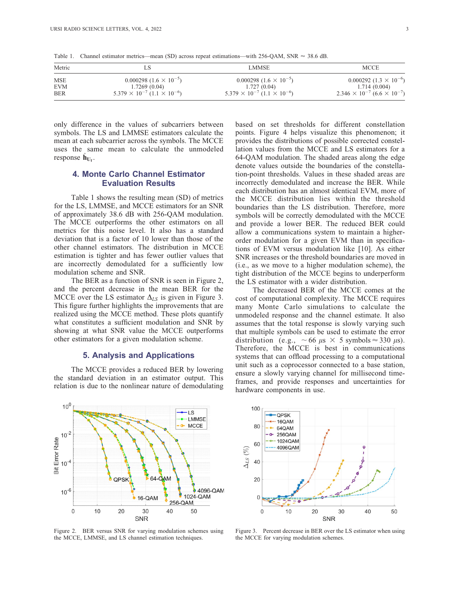Table 1. Channel estimator metrics—mean (SD) across repeat estimations—with 256-QAM, SNR  $\approx$  38.6 dB.

| Metric     | LS                                            | <b>LMMSE</b>                                  | <b>MCCE</b>                                   |
|------------|-----------------------------------------------|-----------------------------------------------|-----------------------------------------------|
| <b>MSE</b> | $0.000298~(1.6\times 10^{-5})$                | $0.000298(1.6\times10^{-5})$                  | $0.000292(1.3 \times 10^{-6})$                |
| <b>EVM</b> | 1.7269(0.04)                                  | 1.727(0.04)                                   | 1.714(0.004)                                  |
| <b>BER</b> | $5.379 \times 10^{-7}$ $(1.1 \times 10^{-6})$ | $5.379 \times 10^{-7}$ $(1.1 \times 10^{-6})$ | $2.346 \times 10^{-7}$ $(6.6 \times 10^{-7})$ |

only difference in the values of subcarriers between symbols. The LS and LMMSE estimators calculate the mean at each subcarrier across the symbols. The MCCE uses the same mean to calculate the unmodeled response  $h_{U_f}$ .

## 4. Monte Carlo Channel Estimator Evaluation Results

Table 1 shows the resulting mean (SD) of metrics for the LS, LMMSE, and MCCE estimators for an SNR of approximately 38.6 dB with 256-QAM modulation. The MCCE outperforms the other estimators on all metrics for this noise level. It also has a standard deviation that is a factor of 10 lower than those of the other channel estimators. The distribution in MCCE estimation is tighter and has fewer outlier values that are incorrectly demodulated for a sufficiently low modulation scheme and SNR.

The BER as a function of SNR is seen in Figure 2, and the percent decrease in the mean BER for the MCCE over the LS estimator  $\Delta_{LS}$  is given in Figure 3. This figure further highlights the improvements that are realized using the MCCE method. These plots quantify what constitutes a sufficient modulation and SNR by showing at what SNR value the MCCE outperforms other estimators for a given modulation scheme.

# 5. Analysis and Applications

The MCCE provides a reduced BER by lowering the standard deviation in an estimator output. This relation is due to the nonlinear nature of demodulating



Figure 2. BER versus SNR for varying modulation schemes using the MCCE, LMMSE, and LS channel estimation techniques.

based on set thresholds for different constellation points. Figure 4 helps visualize this phenomenon; it provides the distributions of possible corrected constellation values from the MCCE and LS estimators for a 64-QAM modulation. The shaded areas along the edge denote values outside the boundaries of the constellation-point thresholds. Values in these shaded areas are incorrectly demodulated and increase the BER. While each distribution has an almost identical EVM, more of the MCCE distribution lies within the threshold boundaries than the LS distribution. Therefore, more symbols will be correctly demodulated with the MCCE and provide a lower BER. The reduced BER could allow a communications system to maintain a higherorder modulation for a given EVM than in specifications of EVM versus modulation like [10]. As either SNR increases or the threshold boundaries are moved in (i.e., as we move to a higher modulation scheme), the tight distribution of the MCCE begins to underperform the LS estimator with a wider distribution.

The decreased BER of the MCCE comes at the cost of computational complexity. The MCCE requires many Monte Carlo simulations to calculate the unmodeled response and the channel estimate. It also assumes that the total response is slowly varying such that multiple symbols can be used to estimate the error distribution (e.g.,  $\sim 66 \text{ }\mu\text{s} \times 5 \text{ symbols} \approx 330 \text{ }\mu\text{s}$ ). Therefore, the MCCE is best in communications systems that can offload processing to a computational unit such as a coprocessor connected to a base station, ensure a slowly varying channel for millisecond timeframes, and provide responses and uncertainties for hardware components in use.



Figure 3. Percent decrease in BER over the LS estimator when using the MCCE for varying modulation schemes.